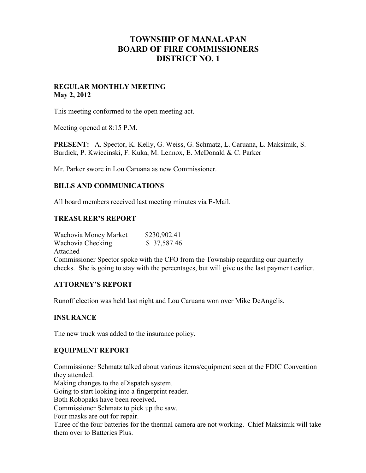# **TOWNSHIP OF MANALAPAN BOARD OF FIRE COMMISSIONERS DISTRICT NO. 1**

## **REGULAR MONTHLY MEETING May 2, 2012**

This meeting conformed to the open meeting act.

Meeting opened at 8:15 P.M.

**PRESENT:** A. Spector, K. Kelly, G. Weiss, G. Schmatz, L. Caruana, L. Maksimik, S. Burdick, P. Kwiecinski, F. Kuka, M. Lennox, E. McDonald & C. Parker

Mr. Parker swore in Lou Caruana as new Commissioner.

### **BILLS AND COMMUNICATIONS**

All board members received last meeting minutes via E-Mail.

### **TREASURER'S REPORT**

Wachovia Money Market \$230,902.41 Wachovia Checking  $$37,587.46$ Attached Commissioner Spector spoke with the CFO from the Township regarding our quarterly checks. She is going to stay with the percentages, but will give us the last payment earlier.

# **ATTORNEY'S REPORT**

Runoff election was held last night and Lou Caruana won over Mike DeAngelis.

### **INSURANCE**

The new truck was added to the insurance policy.

### **EQUIPMENT REPORT**

Commissioner Schmatz talked about various items/equipment seen at the FDIC Convention they attended.

Making changes to the eDispatch system.

Going to start looking into a fingerprint reader.

Both Robopaks have been received.

Commissioner Schmatz to pick up the saw.

Four masks are out for repair.

Three of the four batteries for the thermal camera are not working. Chief Maksimik will take them over to Batteries Plus.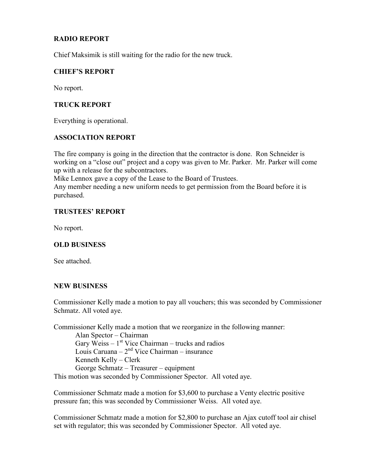# **RADIO REPORT**

Chief Maksimik is still waiting for the radio for the new truck.

### **CHIEF'S REPORT**

No report.

## **TRUCK REPORT**

Everything is operational.

### **ASSOCIATION REPORT**

The fire company is going in the direction that the contractor is done. Ron Schneider is working on a "close out" project and a copy was given to Mr. Parker. Mr. Parker will come up with a release for the subcontractors.

Mike Lennox gave a copy of the Lease to the Board of Trustees.

Any member needing a new uniform needs to get permission from the Board before it is purchased.

### **TRUSTEES' REPORT**

No report.

# **OLD BUSINESS**

See attached.

### **NEW BUSINESS**

Commissioner Kelly made a motion to pay all vouchers; this was seconded by Commissioner Schmatz. All voted aye.

Commissioner Kelly made a motion that we reorganize in the following manner:

Alan Spector – Chairman Gary Weiss  $-1<sup>st</sup>$  Vice Chairman – trucks and radios Louis Caruana –  $2<sup>nd</sup>$  Vice Chairman – insurance Kenneth Kelly – Clerk George Schmatz – Treasurer – equipment This motion was seconded by Commissioner Spector. All voted aye.

Commissioner Schmatz made a motion for \$3,600 to purchase a Venty electric positive pressure fan; this was seconded by Commissioner Weiss. All voted aye.

Commissioner Schmatz made a motion for \$2,800 to purchase an Ajax cutoff tool air chisel set with regulator; this was seconded by Commissioner Spector. All voted aye.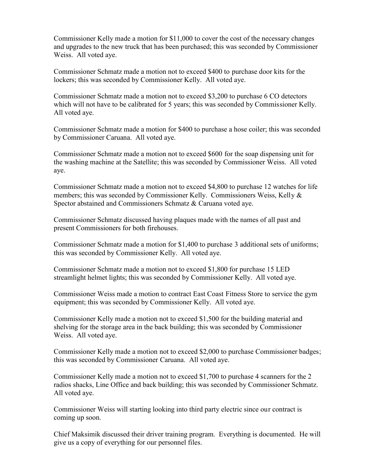Commissioner Kelly made a motion for \$11,000 to cover the cost of the necessary changes and upgrades to the new truck that has been purchased; this was seconded by Commissioner Weiss. All voted aye.

Commissioner Schmatz made a motion not to exceed \$400 to purchase door kits for the lockers; this was seconded by Commissioner Kelly. All voted aye.

Commissioner Schmatz made a motion not to exceed \$3,200 to purchase 6 CO detectors which will not have to be calibrated for 5 years; this was seconded by Commissioner Kelly. All voted aye.

Commissioner Schmatz made a motion for \$400 to purchase a hose coiler; this was seconded by Commissioner Caruana. All voted aye.

Commissioner Schmatz made a motion not to exceed \$600 for the soap dispensing unit for the washing machine at the Satellite; this was seconded by Commissioner Weiss. All voted aye.

Commissioner Schmatz made a motion not to exceed \$4,800 to purchase 12 watches for life members; this was seconded by Commissioner Kelly. Commissioners Weiss, Kelly & Spector abstained and Commissioners Schmatz & Caruana voted aye.

Commissioner Schmatz discussed having plaques made with the names of all past and present Commissioners for both firehouses.

Commissioner Schmatz made a motion for \$1,400 to purchase 3 additional sets of uniforms; this was seconded by Commissioner Kelly. All voted aye.

Commissioner Schmatz made a motion not to exceed \$1,800 for purchase 15 LED streamlight helmet lights; this was seconded by Commissioner Kelly. All voted aye.

Commissioner Weiss made a motion to contract East Coast Fitness Store to service the gym equipment; this was seconded by Commissioner Kelly. All voted aye.

Commissioner Kelly made a motion not to exceed \$1,500 for the building material and shelving for the storage area in the back building; this was seconded by Commissioner Weiss. All voted aye.

Commissioner Kelly made a motion not to exceed \$2,000 to purchase Commissioner badges; this was seconded by Commissioner Caruana. All voted aye.

Commissioner Kelly made a motion not to exceed \$1,700 to purchase 4 scanners for the 2 radios shacks, Line Office and back building; this was seconded by Commissioner Schmatz. All voted aye.

Commissioner Weiss will starting looking into third party electric since our contract is coming up soon.

Chief Maksimik discussed their driver training program. Everything is documented. He will give us a copy of everything for our personnel files.